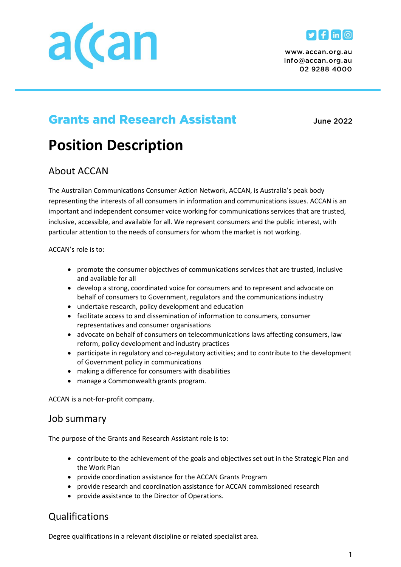



*www.accan.org.au info@accan.org.au 02 9288 4000*

## Grants and Research Assistant *June 2022*

# **Position Description**

## About ACCAN

The Australian Communications Consumer Action Network, ACCAN, is Australia's peak body representing the interests of all consumers in information and communications issues. ACCAN is an important and independent consumer voice working for communications services that are trusted, inclusive, accessible, and available for all. We represent consumers and the public interest, with particular attention to the needs of consumers for whom the market is not working.

ACCAN's role is to:

- promote the consumer objectives of communications services that are trusted, inclusive and available for all
- develop a strong, coordinated voice for consumers and to represent and advocate on behalf of consumers to Government, regulators and the communications industry
- undertake research, policy development and education
- facilitate access to and dissemination of information to consumers, consumer representatives and consumer organisations
- advocate on behalf of consumers on telecommunications laws affecting consumers, law reform, policy development and industry practices
- participate in regulatory and co-regulatory activities; and to contribute to the development of Government policy in communications
- making a difference for consumers with disabilities
- manage a Commonwealth grants program.

ACCAN is a not-for-profit company.

#### Job summary

The purpose of the Grants and Research Assistant role is to:

- contribute to the achievement of the goals and objectives set out in the Strategic Plan and the Work Plan
- provide coordination assistance for the ACCAN Grants Program
- provide research and coordination assistance for ACCAN commissioned research
- provide assistance to the Director of Operations.

## Qualifications

Degree qualifications in a relevant discipline or related specialist area.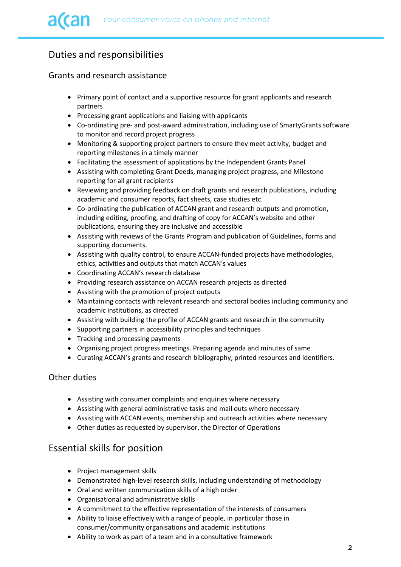## Duties and responsibilities

#### Grants and research assistance

- Primary point of contact and a supportive resource for grant applicants and research partners
- Processing grant applications and liaising with applicants
- Co-ordinating pre- and post-award administration, including use of SmartyGrants software to monitor and record project progress
- Monitoring & supporting project partners to ensure they meet activity, budget and reporting milestones in a timely manner
- Facilitating the assessment of applications by the Independent Grants Panel
- Assisting with completing Grant Deeds, managing project progress, and Milestone reporting for all grant recipients
- Reviewing and providing feedback on draft grants and research publications, including academic and consumer reports, fact sheets, case studies etc.
- Co-ordinating the publication of ACCAN grant and research outputs and promotion, including editing, proofing, and drafting of copy for ACCAN's website and other publications, ensuring they are inclusive and accessible
- Assisting with reviews of the Grants Program and publication of Guidelines, forms and supporting documents.
- Assisting with quality control, to ensure ACCAN-funded projects have methodologies, ethics, activities and outputs that match ACCAN's values
- Coordinating ACCAN's research database
- Providing research assistance on ACCAN research projects as directed
- Assisting with the promotion of project outputs
- Maintaining contacts with relevant research and sectoral bodies including community and academic institutions, as directed
- Assisting with building the profile of ACCAN grants and research in the community
- Supporting partners in accessibility principles and techniques
- Tracking and processing payments
- Organising project progress meetings. Preparing agenda and minutes of same
- Curating ACCAN's grants and research bibliography, printed resources and identifiers.

#### Other duties

- Assisting with consumer complaints and enquiries where necessary
- Assisting with general administrative tasks and mail outs where necessary
- Assisting with ACCAN events, membership and outreach activities where necessary
- Other duties as requested by supervisor, the Director of Operations

### Essential skills for position

- Project management skills
- Demonstrated high-level research skills, including understanding of methodology
- Oral and written communication skills of a high order
- Organisational and administrative skills
- A commitment to the effective representation of the interests of consumers
- Ability to liaise effectively with a range of people, in particular those in consumer/community organisations and academic institutions
- Ability to work as part of a team and in a consultative framework